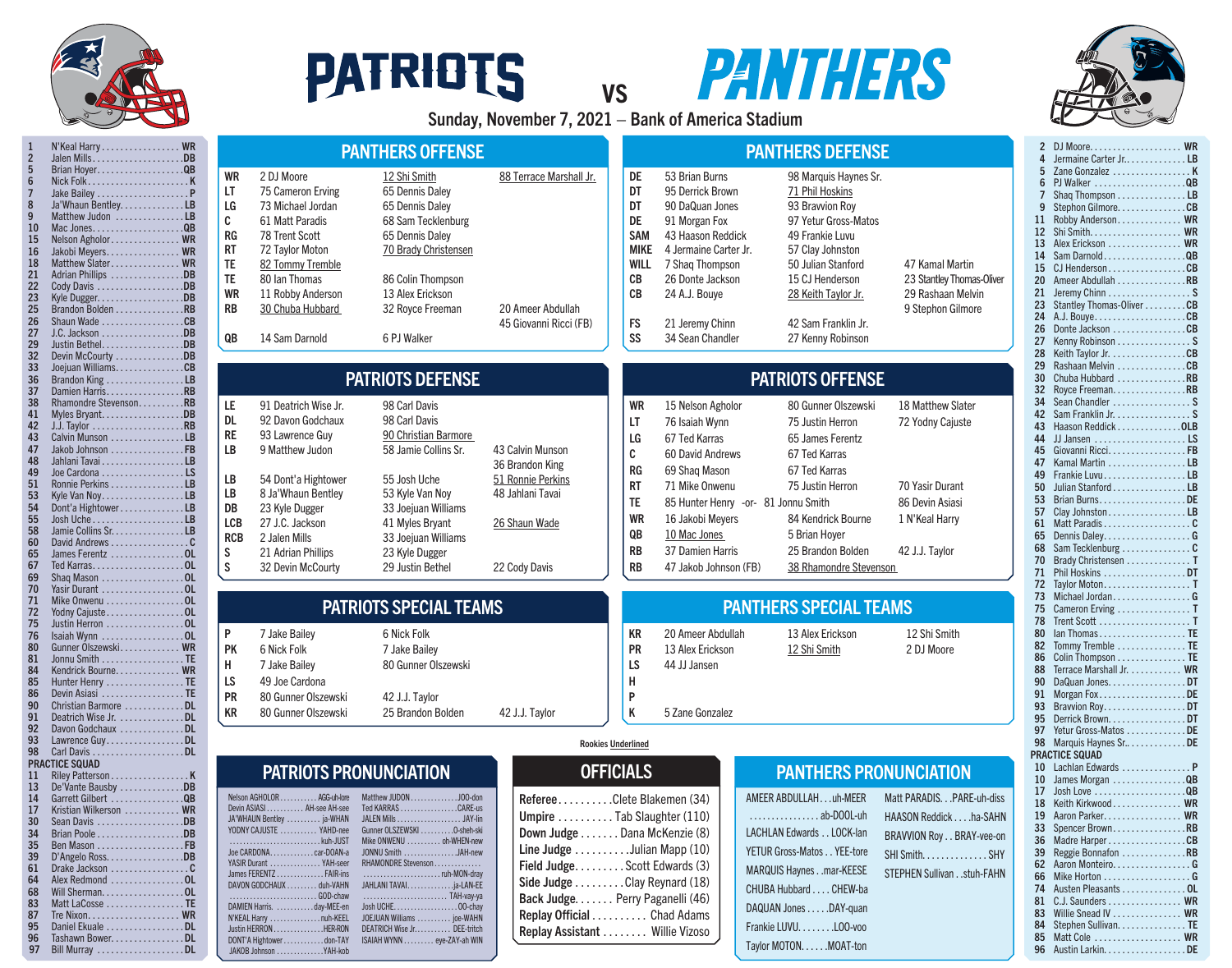

30 Sean Davis . . . . . . . . . . . . . . . . . . DB<br>34 Brian Poole . . . . . . . . . . . . . . . . . DB 34 Brian Poole . . . . . . . . . . . . . . . . . . DB<br>35 Ben Mason . . . . . . . . . . . . . . . . . . FB 35 Ben Mason. . FB 39 D'Angelo Ross. . . . . . . . . . . . . . . . . DB<br>61 Drake Jackson . . . . . . . . . . . . . . . . . C 61 Drake Jackson. . C Alex Redmond . . . . . . . . . . . . . . . 0L 68 Will Sherman. . . . . . . . . . . . . . . . . . OL<br>83 Matt LaCosse . . . . . . . . . . . . . . . . . TE Matt LaCosse . . . . . . . . . . . . . . . . TE 87 Tre Nixon. . . WR 95 Daniel Ekuale . . . . . . . . . . . . . . . . DL 96 Tashawn Bower. . . . . . . . . . . . . . . DL 97 Bill Murray . . . . . . . . . . . . . . . . . . DL

## **PATRIOTS**



Sunday, November 7, 2021 – Bank of America Stadium

vs



|             | 2        |                                                   |  |
|-------------|----------|---------------------------------------------------|--|
|             | 4        | Jermaine Carter Jr LB                             |  |
|             | 5        | Zane Gonzalez  K                                  |  |
|             | 6        |                                                   |  |
|             | 7        | Shaq Thompson LB                                  |  |
|             | 9        | Stephon Gilmore. CB                               |  |
|             | 11       | Robby Anderson WR                                 |  |
|             | 12       |                                                   |  |
|             | 13       | Alex Erickson  WR                                 |  |
|             | 14       | Sam DarnoldQB                                     |  |
|             | 15       | CJ HendersonCB                                    |  |
| Oliver      | 20       | Ameer Abdullah RB                                 |  |
|             | 21       | Jeremy Chinn S                                    |  |
|             | 23       | Stantley Thomas-Oliver CB                         |  |
|             | 24       |                                                   |  |
|             | 26       | Donte Jackson CB                                  |  |
|             | 27       | Kenny Robinson S                                  |  |
|             | 28       | Keith Taylor Jr. CB                               |  |
|             | 29       | Rashaan Melvin CB                                 |  |
|             | 30       | Chuba Hubbard RB                                  |  |
|             | 32       |                                                   |  |
|             | 34       | Royce Freeman. RB<br>Sean Chandler  S             |  |
|             | 42       | Sam Franklin Jr. S                                |  |
|             |          | Haason Reddick OLB                                |  |
|             | 43<br>44 |                                                   |  |
|             |          |                                                   |  |
|             | 45       | Giovanni RicciFB                                  |  |
|             | 47       | Kamal Martin LB                                   |  |
|             | 49       | Frankie LuvuLB                                    |  |
|             | 50       | Julian Stanford LB                                |  |
|             | 53       |                                                   |  |
|             | 57       | Clay JohnstonLB                                   |  |
|             | 61       |                                                   |  |
|             | 65       | Dennis DaleyG                                     |  |
|             | 68       | Sam Tecklenburg C                                 |  |
|             | 70       | Brady Christensen  T                              |  |
|             | 71       | Phil Hoskins DT                                   |  |
|             | 72       | Taylor MotonT                                     |  |
|             | 73       | Michael JordanG                                   |  |
|             | 75       | Cameron Erving $\dots\dots\dots\dots\dots$        |  |
|             | 78       | Trent Scott  T                                    |  |
|             | 80       | $lan$ Thomas $\ldots \ldots \ldots \ldots \ldots$ |  |
|             | 82       | Tommy Tremble  TE                                 |  |
|             | 86       | Colin Thompson TE                                 |  |
|             | 88       | Terrace Marshall Jr. WR                           |  |
|             | 90       | DaQuan JonesDT                                    |  |
|             | 91       | Morgan FoxDE                                      |  |
|             | 93       | Bravvion Roy. DT                                  |  |
|             | 95       | Derrick Brown. DT                                 |  |
|             | 97       | Yetur Gross-Matos DE                              |  |
|             | 98       | Marquis Haynes Sr DE                              |  |
|             |          | <b>PRACTICE SQUAD</b>                             |  |
|             | 10       | Lachlan Edwards  P                                |  |
|             | 10       | James Morgan QB                                   |  |
|             | 17       |                                                   |  |
| h-diss      | 18       | Keith Kirkwood  WR                                |  |
| <b>SAHN</b> | 19       | Aaron Parker. WR                                  |  |
|             | 33       | Spencer BrownRB                                   |  |
| ee-on       | 36       | Madre Harper CB                                   |  |
| . SHY       | 39       | Reggie Bonnafon RB                                |  |
|             | 62       | Aaron Monteiro. G                                 |  |
| FAHN        | 66       |                                                   |  |
|             | 74       | Austen Pleasants  OL                              |  |
|             | 81       | C.J. Saunders  WR                                 |  |
|             | 83       | Willie Snead IV WR                                |  |
|             | 84       | Stephen Sullivan. TE                              |  |
|             | 85       | Matt Cole  WR                                     |  |
|             | 96       | Austin Larkin. DE                                 |  |
|             |          |                                                   |  |
|             |          |                                                   |  |

| N'Keal Harry WR<br>$\overline{2}$<br>Jalen MillsDB                                                                                                                                                                                                                                                                                                                                                                                                                               |                                                                                                              |                                                                                                                                                                                                                               | <b>PANTHERS OFFENSE</b>                                                                                                                                                                                                  |                                                                                                                |                                                                                                                   |                                                                                                                                                                                                                                     | <b>PANTHERS DEFENSE</b>                                                                                                                                                                                                                |                                                                                                                 |
|----------------------------------------------------------------------------------------------------------------------------------------------------------------------------------------------------------------------------------------------------------------------------------------------------------------------------------------------------------------------------------------------------------------------------------------------------------------------------------|--------------------------------------------------------------------------------------------------------------|-------------------------------------------------------------------------------------------------------------------------------------------------------------------------------------------------------------------------------|--------------------------------------------------------------------------------------------------------------------------------------------------------------------------------------------------------------------------|----------------------------------------------------------------------------------------------------------------|-------------------------------------------------------------------------------------------------------------------|-------------------------------------------------------------------------------------------------------------------------------------------------------------------------------------------------------------------------------------|----------------------------------------------------------------------------------------------------------------------------------------------------------------------------------------------------------------------------------------|-----------------------------------------------------------------------------------------------------------------|
| $5\phantom{.0}$<br>Brian Hoyer. QB<br>$\boldsymbol{6}$<br>$\overline{7}$<br>Jake Bailey $\dots\dots\dots\dots\dots\dots P$<br>$\bf 8$<br>Ja'Whaun Bentley. LB<br>9<br>Matthew Judon LB<br>10<br>Mac JonesQB<br>15<br>Nelson Agholor WR<br>16<br>Jakobi Meyers WR<br>Matthew Slater WR<br>18<br>21<br>Adrian Phillips DB<br>22<br>Cody Davis DB<br>23<br>25<br>Brandon Bolden RB<br>26<br>Shaun Wade CB<br>27<br>29<br>Justin BethelDB                                            | <b>WR</b><br>LT<br>LG<br>C<br><b>RG</b><br><b>RT</b><br>TE<br><b>TE</b><br><b>WR</b><br><b>RB</b><br>QB      | 2 DJ Moore<br>75 Cameron Erving<br>73 Michael Jordan<br>61 Matt Paradis<br>78 Trent Scott<br>72 Taylor Moton<br>82 Tommy Tremble<br>80 Ian Thomas<br>11 Robby Anderson<br>30 Chuba Hubbard<br>14 Sam Darnold                  | 12 Shi Smith<br>65 Dennis Daley<br>65 Dennis Daley<br>68 Sam Tecklenburg<br>65 Dennis Daley<br>70 Brady Christensen<br>86 Colin Thompson<br>13 Alex Erickson<br>32 Royce Freeman<br>6 PJ Walker                          | 88 Terrace Marshall Jr.<br>20 Ameer Abdullah<br>45 Giovanni Ricci (FB)                                         | DE<br>DT<br>DT<br>DE<br><b>SAM</b><br><b>MIKE</b><br>WILL<br>CB<br>CB<br><b>FS</b><br>SS                          | 53 Brian Burns<br>95 Derrick Brown<br>90 DaQuan Jones<br>91 Morgan Fox<br>43 Haason Reddick<br>4 Jermaine Carter Jr.<br>7 Shaq Thompson<br>26 Donte Jackson<br>24 A.J. Bouye<br>21 Jeremy Chinn<br>34 Sean Chandler                 | 98 Marquis Haynes Sr.<br>71 Phil Hoskins<br>93 Bravvion Roy<br>97 Yetur Gross-Matos<br>49 Frankie Luvu<br>57 Clay Johnston<br>50 Julian Stanford<br>15 CJ Henderson<br>28 Keith Taylor Jr.<br>42 Sam Franklin Jr.<br>27 Kenny Robinson | 47 Kamal Martin<br>23 Stantley Thomas-<br>29 Rashaan Melvir<br>9 Stephon Gilmore                                |
| 32<br>Devin McCourty DB<br>33<br>Joejuan WilliamsCB<br>36<br>Brandon King LB                                                                                                                                                                                                                                                                                                                                                                                                     |                                                                                                              |                                                                                                                                                                                                                               | <b>PATRIOTS DEFENSE</b>                                                                                                                                                                                                  |                                                                                                                |                                                                                                                   |                                                                                                                                                                                                                                     | <b>PATRIOTS OFFENSE</b>                                                                                                                                                                                                                |                                                                                                                 |
| 37<br>Damien Harris<br>38<br>Rhamondre StevensonRB<br>41<br>Myles BryantDB<br>42<br>43<br>Calvin Munson LB<br>47<br>Jakob Johnson FB<br>48<br>Jahlani Tavai LB<br>49<br>Joe Cardona $\ldots$ , $\ldots$ , $\ldots$ , $\ldots$<br>51<br>Ronnie Perkins LB<br>53<br>Kyle Van NoyLB<br>54<br>Dont'a HightowerLB<br>55<br>Josh Uche $\dots \dots \dots \dots \dots \dots$<br>58<br>Jamie Collins Sr. LB<br>60<br>65<br>James Ferentz OL<br>67<br>Ted KarrasOL<br>69<br>Shaq Mason 0L | LE<br><b>DL</b><br><b>RE</b><br>LB<br>LB<br>LB<br>DB<br><b>LCB</b><br><b>RCB</b><br>${\sf S}$<br>$\mathsf S$ | 91 Deatrich Wise Jr.<br>92 Davon Godchaux<br>93 Lawrence Guy<br>9 Matthew Judon<br>54 Dont'a Hightower<br>8 Ja'Whaun Bentley<br>23 Kyle Dugger<br>27 J.C. Jackson<br>2 Jalen Mills<br>21 Adrian Phillips<br>32 Devin McCourty | 98 Carl Davis<br>98 Carl Davis<br>90 Christian Barmore<br>58 Jamie Collins Sr.<br>55 Josh Uche<br>53 Kyle Van Noy<br>33 Joejuan Williams<br>41 Myles Bryant<br>33 Joejuan Williams<br>23 Kyle Dugger<br>29 Justin Bethel | 43 Calvin Munson<br>36 Brandon King<br>51 Ronnie Perkins<br>48 Jahlani Tavai<br>26 Shaun Wade<br>22 Cody Davis | <b>WR</b><br>LT<br>LG<br>$\mathbf C$<br>RG<br><b>RT</b><br><b>TE</b><br><b>WR</b><br>QB<br><b>RB</b><br><b>RB</b> | 15 Nelson Agholor<br>76 Isaiah Wynn<br>67 Ted Karras<br>60 David Andrews<br>69 Shaq Mason<br>71 Mike Onwenu<br>85 Hunter Henry -or- 81 Jonnu Smith<br>16 Jakobi Meyers<br>10 Mac Jones<br>37 Damien Harris<br>47 Jakob Johnson (FB) | 80 Gunner Olszewski<br>75 Justin Herron<br>65 James Ferentz<br>67 Ted Karras<br>67 Ted Karras<br>75 Justin Herron<br>84 Kendrick Bourne<br>5 Brian Hoyer<br>25 Brandon Bolden<br>38 Rhamondre Stevenson                                | 18 Matthew Slater<br>72 Yodny Cajuste<br>70 Yasir Durant<br>86 Devin Asiasi<br>1 N'Keal Harry<br>42 J.J. Taylor |
| 70<br>Yasir Durant OL<br>71<br>Mike Onwenu OL<br>72<br>Yodny CajusteOL                                                                                                                                                                                                                                                                                                                                                                                                           |                                                                                                              |                                                                                                                                                                                                                               | <b>PATRIOTS SPECIAL TEAMS</b>                                                                                                                                                                                            |                                                                                                                |                                                                                                                   |                                                                                                                                                                                                                                     | <b>PANTHERS SPECIAL TEAMS</b>                                                                                                                                                                                                          |                                                                                                                 |
| 75<br>Justin Herron OL<br>76<br>80<br>Gunner Olszewski WR<br>81<br>Jonnu Smith TE<br>84<br>Kendrick Bourne. WR<br>85<br>Hunter Henry TE<br>86<br>Devin Asiasi TE<br>90<br>Christian Barmore DL<br>91<br>Deatrich Wise Jr. DL<br>92<br>Davon Godchaux DL                                                                                                                                                                                                                          | P<br>PK<br>Н<br>LS<br><b>PR</b><br>KR                                                                        | 7 Jake Bailey<br>6 Nick Folk<br>7 Jake Bailey<br>49 Joe Cardona<br>80 Gunner Olszewski<br>80 Gunner Olszewski                                                                                                                 | 6 Nick Folk<br>7 Jake Bailey<br>80 Gunner Olszewski<br>42 J.J. Taylor<br>25 Brandon Bolden                                                                                                                               | 42 J.J. Taylor                                                                                                 | <b>KR</b><br>PR<br>LS<br>н<br>P<br>K                                                                              | 20 Ameer Abdullah<br>13 Alex Erickson<br>44 JJ Jansen<br>5 Zane Gonzalez                                                                                                                                                            | 13 Alex Erickson<br>12 Shi Smith                                                                                                                                                                                                       | 12 Shi Smith<br>2 DJ Moore                                                                                      |
| Lawrence GuyDL<br>93<br>98<br><b>PRACTICE SQUAD</b>                                                                                                                                                                                                                                                                                                                                                                                                                              |                                                                                                              |                                                                                                                                                                                                                               |                                                                                                                                                                                                                          |                                                                                                                | <b>Rookies Underlined</b>                                                                                         |                                                                                                                                                                                                                                     |                                                                                                                                                                                                                                        |                                                                                                                 |
| 11<br>De'Vante Bausby DB<br>13<br>Garrett Gilbert QB<br>14<br>Kristian Wilkerson  WR<br>17                                                                                                                                                                                                                                                                                                                                                                                       |                                                                                                              | Nelson AGHOLOR AGG-uh-lore<br>Devin ASIASI  AH-see AH-see                                                                                                                                                                     | <b>PATRIOTS PRONUNCIATION</b><br>Matthew JUDON J00-don<br>Ted KARRAS CARE-us                                                                                                                                             | Referee.<br><b>Ilmniro</b>                                                                                     | <b>OFFICIALS</b>                                                                                                  | .Clete Blakemen (34)<br>$T_{\alpha}h$ Cloughtor (110)                                                                                                                                                                               | <b>PANTHERS PRONUNCIATION</b><br>AMEER ABDULLAHuh-MEER<br>ah DOOL uh                                                                                                                                                                   | Matt PARADIS. PARE-u<br>$HAPONID = H11$                                                                         |

| Nelson AGHOLOR AGG-uh-lore | Matthew JUDONJOO-don        |
|----------------------------|-----------------------------|
| Devin ASIASI AH-see AH-see | Ted KARRAS CARE-us          |
| JA'WHAUN Bentley  ja-WHAN  |                             |
| YODNY CAJUSTE  YAHD-nee    | Gunner OLSZEWSKI O-sheh-ski |
|                            | Mike ONWENU  oh-WHEN-new    |
| Joe CARDONAcar-DOAN-a      | JONNU Smith JAH-new         |
| YASIR Durant  YAH-seer     | RHAMONDRE Stevenson         |
| James FERENTZ FAIR-ins     | ruh-MON-dray                |
| DAVON GODCHAUX duh-VAHN    | JAHLANI TAVAI. ja-LAN-EE    |
| GOD-chaw                   | TAH-vay-ya                  |
| DAMIEN Harris. day-MEE-en  |                             |
| N'KEAL Harry nuh-KEEL      | JOEJUAN Williams  joe-WAHN  |
| Justin HERRON HER-RON      | DEATRICH Wise Jr DEE-tritch |
| DONT'A Hightowerdon-TAY    | ISAIAH WYNN eye-ZAY-ah WIN  |
| JAKOB Johnson YAH-kob      |                             |

| RefereeClete Blakemen (34)                      |
|-------------------------------------------------|
| Umpire Tab Slaughter (110)                      |
| Down Judge Dana McKenzie (8)                    |
| Line Judge $\dots \dots \dots$ Julian Mapp (10) |
| Field Judge. Scott Edwards (3)                  |
| Side Judge Clay Reynard (18)                    |
| Back Judge. Perry Paganelli (46)                |
| <b>Replay Official  Chad Adams</b>              |
| Replay Assistant  Willie Vizoso                 |

## **THERS PRONUNCIATION**

 $\ldots$ LACH YETU **MAR** CHUI DAQI Frank **Taylo** 

| AMEER ABDULLAHuh-MEER                    | Matt PARADIS. PARE-uh-diss |
|------------------------------------------|----------------------------|
| $\ldots \ldots \ldots \ldots$ ab-DOOL-uh | HAASON Reddick ha-SAHN     |
| LACHLAN Edwards LOCK-lan                 | BRAVVION Roy BRAY-vee-on   |
| YETUR Gross-Matos YEE-tore               | SHI Smith. SHY             |
| MARQUIS Haynesmar-KEESE                  | STEPHEN Sullivan stuh-FAHN |
| CHUBA Hubbard CHEW-ba                    |                            |
| DAQUAN Jones DAY-quan                    |                            |
| Frankie LUVULOO-voo                      |                            |
| Taylor MOTONMOAT-ton                     |                            |